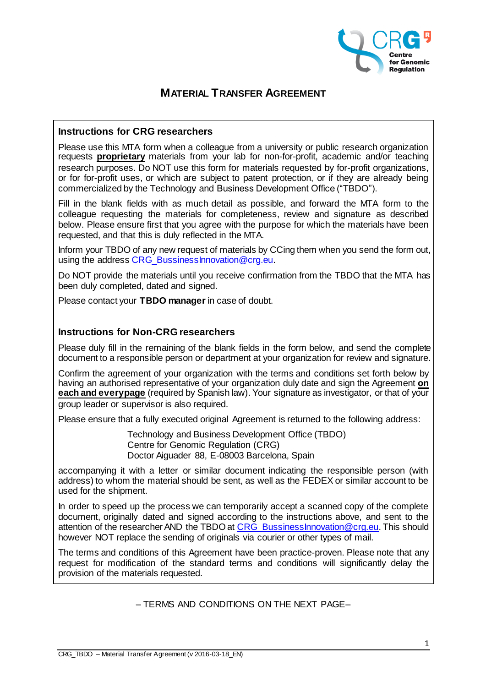

# **MATERIAL TRANSFER AGREEMENT**

## **Instructions for CRG researchers**

Please use this MTA form when a colleague from a university or public research organization requests **proprietary** materials from your lab for non-for-profit, academic and/or teaching research purposes. Do NOT use this form for materials requested by for-profit organizations, or for for-profit uses, or which are subject to patent protection, or if they are already being commercialized by the Technology and Business Development Office ("TBDO").

Fill in the blank fields with as much detail as possible, and forward the MTA form to the colleague requesting the materials for completeness, review and signature as described below. Please ensure first that you agree with the purpose for which the materials have been requested, and that this is duly reflected in the MTA.

Inform your TBDO of any new request of materials by CCing them when you send the form out, using the address CRG\_BussinessInnovation@crg.eu.

Do NOT provide the materials until you receive confirmation from the TBDO that the MTA has been duly completed, dated and signed.

Please contact your **TBDO manager** in case of doubt.

## **Instructions for Non-CRG researchers**

Please duly fill in the remaining of the blank fields in the form below, and send the complete document to a responsible person or department at your organization for review and signature.

Confirm the agreement of your organization with the terms and conditions set forth below by having an authorised representative of your organization duly date and sign the Agreement **on each and every page** (required by Spanish law). Your signature as investigator, or that of your group leader or supervisor is also required.

Please ensure that a fully executed original Agreement is returned to the following address:

Technology and Business Development Office (TBDO) Centre for Genomic Regulation (CRG) Doctor Aiguader 88, E-08003 Barcelona, Spain

accompanying it with a letter or similar document indicating the responsible person (with address) to whom the material should be sent, as well as the FEDEX or similar account to be used for the shipment.

In order to speed up the process we can temporarily accept a scanned copy of the complete document, originally dated and signed according to the instructions above, and sent to the attention of the researcher AND the TBDO at CRG BussinessInnovation@crg.eu. This should however NOT replace the sending of originals via courier or other types of mail.

The terms and conditions of this Agreement have been practice-proven. Please note that any request for modification of the standard terms and conditions will significantly delay the provision of the materials requested.

– TERMS AND CONDITIONS ON THE NEXT PAGE–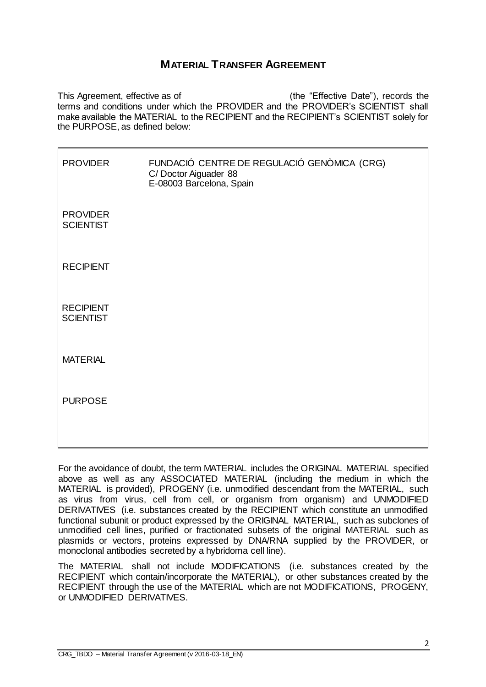# **MATERIAL TRANSFER AGREEMENT**

This Agreement, effective as of (the "Effective Date"), records the terms and conditions under which the PROVIDER and the PROVIDER's SCIENTIST shall make available the MATERIAL to the RECIPIENT and the RECIPIENT's SCIENTIST solely for the PURPOSE, as defined below:

| <b>PROVIDER</b>                      | FUNDACIÓ CENTRE DE REGULACIÓ GENÒMICA (CRG)<br>C/Doctor Aiguader 88<br>E-08003 Barcelona, Spain |
|--------------------------------------|-------------------------------------------------------------------------------------------------|
| <b>PROVIDER</b><br><b>SCIENTIST</b>  |                                                                                                 |
| <b>RECIPIENT</b>                     |                                                                                                 |
| <b>RECIPIENT</b><br><b>SCIENTIST</b> |                                                                                                 |
| <b>MATERIAL</b>                      |                                                                                                 |
| <b>PURPOSE</b>                       |                                                                                                 |
|                                      |                                                                                                 |

For the avoidance of doubt, the term MATERIAL includes the ORIGINAL MATERIAL specified above as well as any ASSOCIATED MATERIAL (including the medium in which the MATERIAL is provided), PROGENY (i.e. unmodified descendant from the MATERIAL, such as virus from virus, cell from cell, or organism from organism) and UNMODIFIED DERIVATIVES (i.e. substances created by the RECIPIENT which constitute an unmodified functional subunit or product expressed by the ORIGINAL MATERIAL, such as subclones of unmodified cell lines, purified or fractionated subsets of the original MATERIAL such as plasmids or vectors, proteins expressed by DNA/RNA supplied by the PROVIDER, or monoclonal antibodies secreted by a hybridoma cell line).

The MATERIAL shall not include MODIFICATIONS (i.e. substances created by the RECIPIENT which contain/incorporate the MATERIAL), or other substances created by the RECIPIENT through the use of the MATERIAL which are not MODIFICATIONS, PROGENY, or UNMODIFIED DERIVATIVES.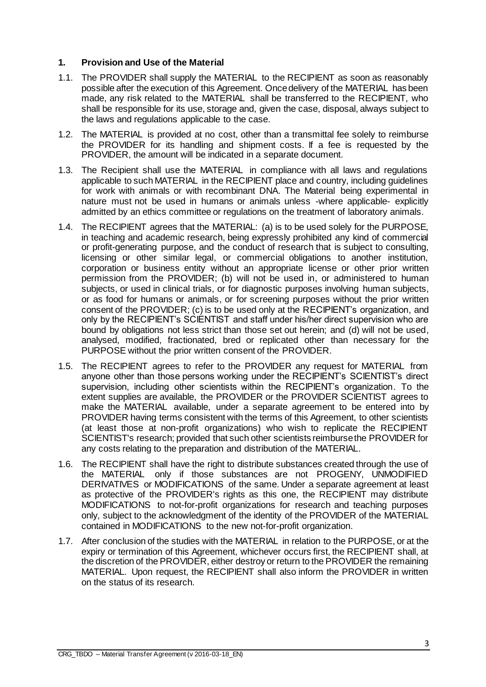## **1. Provision and Use of the Material**

- 1.1. The PROVIDER shall supply the MATERIAL to the RECIPIENT as soon as reasonably possible after the execution of this Agreement. Once delivery of the MATERIAL has been made, any risk related to the MATERIAL shall be transferred to the RECIPIENT, who shall be responsible for its use, storage and, given the case, disposal, always subject to the laws and regulations applicable to the case.
- 1.2. The MATERIAL is provided at no cost, other than a transmittal fee solely to reimburse the PROVIDER for its handling and shipment costs. If a fee is requested by the PROVIDER, the amount will be indicated in a separate document.
- 1.3. The Recipient shall use the MATERIAL in compliance with all laws and regulations applicable to such MATERIAL in the RECIPIENT place and country, including guidelines for work with animals or with recombinant DNA. The Material being experimental in nature must not be used in humans or animals unless -where applicable- explicitly admitted by an ethics committee or regulations on the treatment of laboratory animals.
- 1.4. The RECIPIENT agrees that the MATERIAL: (a) is to be used solely for the PURPOSE, in teaching and academic research, being expressly prohibited any kind of commercial or profit-generating purpose, and the conduct of research that is subject to consulting, licensing or other similar legal, or commercial obligations to another institution, corporation or business entity without an appropriate license or other prior written permission from the PROVIDER; (b) will not be used in, or administered to human subjects, or used in clinical trials, or for diagnostic purposes involving human subjects, or as food for humans or animals, or for screening purposes without the prior written consent of the PROVIDER; (c) is to be used only at the RECIPIENT's organization, and only by the RECIPIENT's SCIENTIST and staff under his/her direct supervision who are bound by obligations not less strict than those set out herein; and (d) will not be used, analysed, modified, fractionated, bred or replicated other than necessary for the PURPOSE without the prior written consent of the PROVIDER.
- 1.5. The RECIPIENT agrees to refer to the PROVIDER any request for MATERIAL from anyone other than those persons working under the RECIPIENT's SCIENTIST's direct supervision, including other scientists within the RECIPIENT's organization. To the extent supplies are available, the PROVIDER or the PROVIDER SCIENTIST agrees to make the MATERIAL available, under a separate agreement to be entered into by PROVIDER having terms consistent with the terms of this Agreement, to other scientists (at least those at non-profit organizations) who wish to replicate the RECIPIENT SCIENTIST's research; provided that such other scientists reimburse the PROVIDER for any costs relating to the preparation and distribution of the MATERIAL.
- 1.6. The RECIPIENT shall have the right to distribute substances created through the use of the MATERIAL only if those substances are not PROGENY, UNMODIFIED DERIVATIVES or MODIFICATIONS of the same. Under a separate agreement at least as protective of the PROVIDER's rights as this one, the RECIPIENT may distribute MODIFICATIONS to not-for-profit organizations for research and teaching purposes only, subject to the acknowledgment of the identity of the PROVIDER of the MATERIAL contained in MODIFICATIONS to the new not-for-profit organization.
- 1.7. After conclusion of the studies with the MATERIAL in relation to the PURPOSE, or at the expiry or termination of this Agreement, whichever occurs first, the RECIPIENT shall, at the discretion of the PROVIDER, either destroy or return to the PROVIDER the remaining MATERIAL. Upon request, the RECIPIENT shall also inform the PROVIDER in written on the status of its research.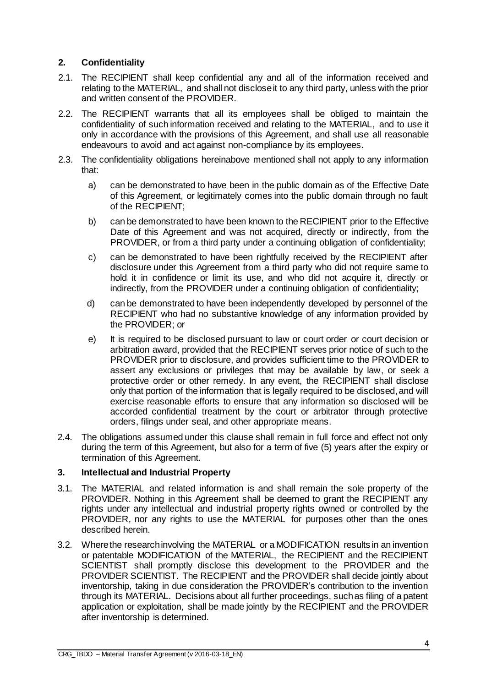## **2. Confidentiality**

- 2.1. The RECIPIENT shall keep confidential any and all of the information received and relating to the MATERIAL, and shall not disclose it to any third party, unless with the prior and written consent of the PROVIDER.
- 2.2. The RECIPIENT warrants that all its employees shall be obliged to maintain the confidentiality of such information received and relating to the MATERIAL, and to use it only in accordance with the provisions of this Agreement, and shall use all reasonable endeavours to avoid and act against non-compliance by its employees.
- 2.3. The confidentiality obligations hereinabove mentioned shall not apply to any information that:
	- a) can be demonstrated to have been in the public domain as of the Effective Date of this Agreement, or legitimately comes into the public domain through no fault of the RECIPIENT;
	- b) can be demonstrated to have been known to the RECIPIENT prior to the Effective Date of this Agreement and was not acquired, directly or indirectly, from the PROVIDER, or from a third party under a continuing obligation of confidentiality;
	- c) can be demonstrated to have been rightfully received by the RECIPIENT after disclosure under this Agreement from a third party who did not require same to hold it in confidence or limit its use, and who did not acquire it, directly or indirectly, from the PROVIDER under a continuing obligation of confidentiality;
	- d) can be demonstrated to have been independently developed by personnel of the RECIPIENT who had no substantive knowledge of any information provided by the PROVIDER; or
	- e) It is required to be disclosed pursuant to law or court order or court decision or arbitration award, provided that the RECIPIENT serves prior notice of such to the PROVIDER prior to disclosure, and provides sufficient time to the PROVIDER to assert any exclusions or privileges that may be available by law, or seek a protective order or other remedy. In any event, the RECIPIENT shall disclose only that portion of the information that is legally required to be disclosed,and will exercise reasonable efforts to ensure that any information so disclosed will be accorded confidential treatment by the court or arbitrator through protective orders, filings under seal, and other appropriate means.
- 2.4. The obligations assumed under this clause shall remain in full force and effect not only during the term of this Agreement, but also for a term of five (5) years after the expiry or termination of this Agreement.

## **3. Intellectual and Industrial Property**

- 3.1. The MATERIAL and related information is and shall remain the sole property of the PROVIDER. Nothing in this Agreement shall be deemed to grant the RECIPIENT any rights under any intellectual and industrial property rights owned or controlled by the PROVIDER, nor any rights to use the MATERIAL for purposes other than the ones described herein.
- 3.2. Where the research involving the MATERIAL or a MODIFICATION results in an invention or patentable MODIFICATION of the MATERIAL, the RECIPIENT and the RECIPIENT SCIENTIST shall promptly disclose this development to the PROVIDER and the PROVIDER SCIENTIST. The RECIPIENT and the PROVIDER shall decide jointly about inventorship, taking in due consideration the PROVIDER's contribution to the invention through its MATERIAL. Decisions about all further proceedings, such as filing of a patent application or exploitation, shall be made jointly by the RECIPIENT and the PROVIDER after inventorship is determined.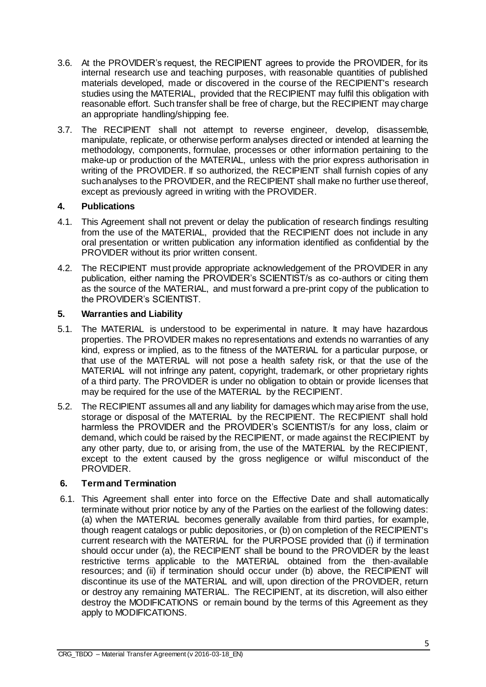- 3.6. At the PROVIDER's request, the RECIPIENT agrees to provide the PROVIDER, for its internal research use and teaching purposes, with reasonable quantities of published materials developed, made or discovered in the course of the RECIPIENT's research studies using the MATERIAL, provided that the RECIPIENT may fulfil this obligation with reasonable effort. Such transfer shall be free of charge, but the RECIPIENT may charge an appropriate handling/shipping fee.
- 3.7. The RECIPIENT shall not attempt to reverse engineer, develop, disassemble, manipulate, replicate, or otherwise perform analyses directed or intended at learning the methodology, components, formulae, processes or other information pertaining to the make-up or production of the MATERIAL, unless with the prior express authorisation in writing of the PROVIDER. If so authorized, the RECIPIENT shall furnish copies of any such analyses to the PROVIDER, and the RECIPIENT shall make no further use thereof, except as previously agreed in writing with the PROVIDER.

## **4. Publications**

- 4.1. This Agreement shall not prevent or delay the publication of research findings resulting from the use of the MATERIAL, provided that the RECIPIENT does not include in any oral presentation or written publication any information identified as confidential by the PROVIDER without its prior written consent.
- 4.2. The RECIPIENT must provide appropriate acknowledgement of the PROVIDER in any publication, either naming the PROVIDER's SCIENTIST/s as co-authors or citing them as the source of the MATERIAL, and must forward a pre-print copy of the publication to the PROVIDER's SCIENTIST.

## **5. Warranties and Liability**

- 5.1. The MATERIAL is understood to be experimental in nature. It may have hazardous properties. The PROVIDER makes no representations and extends no warranties of any kind, express or implied, as to the fitness of the MATERIAL for a particular purpose, or that use of the MATERIAL will not pose a health safety risk, or that the use of the MATERIAL will not infringe any patent, copyright, trademark, or other proprietary rights of a third party. The PROVIDER is under no obligation to obtain or provide licenses that may be required for the use of the MATERIAL by the RECIPIENT.
- 5.2. The RECIPIENT assumes all and any liability for damages which may arise from the use, storage or disposal of the MATERIAL by the RECIPIENT. The RECIPIENT shall hold harmless the PROVIDER and the PROVIDER's SCIENTIST/s for any loss, claim or demand, which could be raised by the RECIPIENT, or made against the RECIPIENT by any other party, due to, or arising from, the use of the MATERIAL by the RECIPIENT, except to the extent caused by the gross negligence or wilful misconduct of the PROVIDER.

## **6. Termand Termination**

6.1. This Agreement shall enter into force on the Effective Date and shall automatically terminate without prior notice by any of the Parties on the earliest of the following dates: (a) when the MATERIAL becomes generally available from third parties, for example, though reagent catalogs or public depositories, or (b) on completion of the RECIPIENT's current research with the MATERIAL for the PURPOSE provided that (i) if termination should occur under (a), the RECIPIENT shall be bound to the PROVIDER by the least restrictive terms applicable to the MATERIAL obtained from the then-available resources; and (ii) if termination should occur under (b) above, the RECIPIENT will discontinue its use of the MATERIAL and will, upon direction of the PROVIDER, return or destroy any remaining MATERIAL. The RECIPIENT, at its discretion, will also either destroy the MODIFICATIONS or remain bound by the terms of this Agreement as they apply to MODIFICATIONS.